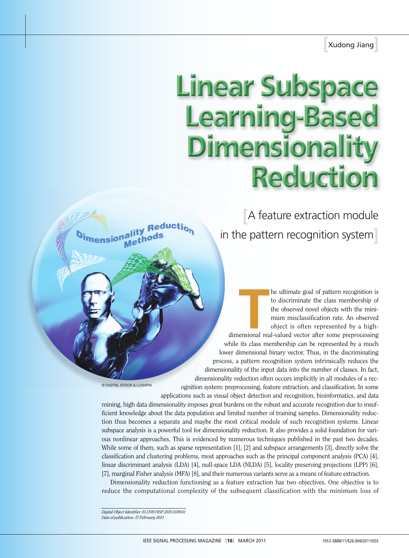# **Linear Subspace Learning-Based Dimensionality** Reduction

**[**A feature extraction module in the pattern recognition system**]**

**THE MENTANGE SET ASSEM SET AND AREAD TO A THE MOREON THE SURFAMORE SOFTIME SOFTIME SOFTIME SOFTIME SOFTIME SOFTIME SOFTIME SOFTIME SOFTIME SOFTIME SOFTIME SOFTIME SOFTIME SOFTIME SOFTIME SOFTIME SOFTIME SOFTIME SOFTIME SO** he ultimate goal of pattern recognition is to discriminate the class membership of the observed novel objects with the minimum misclassification rate. An observed object is often represented by a high-

while its class membership can be represented by a much lower dimensional binary vector. Thus, in the discriminating process, a pattern recognition system intrinsically reduces the dimensionality of the input data into the number of classes. In fact, dimensionality reduction often occurs implicitly in all modules of a recognition system: preprocessing, feature extraction, and classification. In some

applications such as visual object detection and recognition, bioinformatics, and data mining, high data dimensionality imposes great burdens on the robust and accurate recognition due to insufficient knowledge about the data population and limited number of training samples. Dimensionality reduction thus becomes a separate and maybe the most critical module of such recognition systems. Linear subspace analysis is a powerful tool for dimensionality reduction. It also provides a solid foundation for various nonlinear approaches. This is evidenced by numerous techniques published in the past two decades. While some of them, such as sparse representation [1], [2] and subspace arrangements [3], directly solve the classification and clustering problems, most approaches such as the principal component analysis (PCA) [4], linear discriminant analysis (LDA) [4], null-space LDA (NLDA) [5], locality preserving projections (LPP) [6], [7], marginal Fisher analysis (MFA) [8], and their numerous variants serve as a means of feature extraction.

Dimensionality reduction functioning as a feature extraction has two objectives. One objective is to reduce the computational complexity of the subsequent classification with the minimum loss of

 *Digital Object Identifier 10.1109/MSP.2010.939041 Date of publication: 17 February 2011*

© DIGITAL STOCK & LUSHPIX

D<sub>imensionality</sub>

Reductio

ality<br>Methods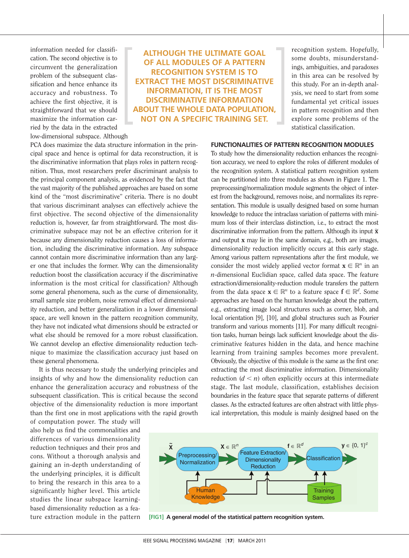information needed for classification. The second objective is to circumvent the generalization problem of the subsequent classification and hence enhance its accuracy and robustness. To achieve the first objective, it is straightforward that we should maximize the information carried by the data in the extracted low-dimensional subspace. Although

**ALTHOUGH THE ULTIMATE GOAL OF ALL MODULES OF A PATTERN RECOGNITION SYSTEM IS TO EXTRACT THE MOST DISCRIMINATIVE INFORMATION, IT IS THE MOST DISCRIMINATIVE INFORMATION ABOUT THE WHOLE DATA POPULATION, NOT ON A SPECIFIC TRAINING SET.**

recognition system. Hopefully, some doubts, misunderstandings, ambiguities, and paradoxes in this area can be resolved by this study. For an in-depth analysis, we need to start from some fundamental yet critical issues in pattern recognition and then explore some problems of the statistical classification.

## **FUNCTIONALITIES OF PATTERN RECOGNITION MODULES**

PCA does maximize the data structure information in the principal space and hence is optimal for data reconstruction, it is the discriminative information that plays roles in pattern recognition. Thus, most researchers prefer discriminant analysis to the principal component analysis, as evidenced by the fact that the vast majority of the published approaches are based on some kind of the "most discriminative" criteria. There is no doubt that various discriminant analyses can effectively achieve the first objective. The second objective of the dimensionality reduction is, however, far from straightforward. The most discriminative subspace may not be an effective criterion for it because any dimensionality reduction causes a loss of information, including the discriminative information. Any subspace cannot contain more discriminative information than any larger one that includes the former. Why can the dimensionality reduction boost the classification accuracy if the discriminative information is the most critical for classification? Although some general phenomena, such as the curse of dimensionality, small sample size problem, noise removal effect of dimensionality reduction, and better generalization in a lower dimensional space, are well known in the pattern recognition community, they have not indicated what dimensions should be extracted or what else should be removed for a more robust classification. We cannot develop an effective dimensionality reduction technique to maximize the classification accuracy just based on these general phenomena.

It is thus necessary to study the underlying principles and insights of why and how the dimensionality reduction can enhance the generalization accuracy and robustness of the subsequent classification. This is critical because the second objective of the dimensionality reduction is more important than the first one in most applications with the rapid growth

of computation power. The study will also help us find the commonalities and differences of various dimensionality reduction techniques and their pros and cons. Without a thorough analysis and gaining an in-depth understanding of the underlying principles, it is difficult to bring the research in this area to a significantly higher level. This article studies the linear subspace learningbased dimensionality reduction as a feature extraction module in the pattern

To study how the dimensionality reduction enhances the recognition accuracy, we need to explore the roles of different modules of the recognition system. A statistical pattern recognition system can be partitioned into three modules as shown in Figure 1. The preprocessing/normalization module segments the object of interest from the background, removes noise, and normalizes its representation. This module is usually designed based on some human knowledge to reduce the intraclass variation of patterns with minimum loss of their interclass distinction, i.e., to extract the most discriminative information from the pattern. Although its input  $\tilde{\mathbf{x}}$ and output x may lie in the same domain, e.g., both are images, dimensionality reduction implicitly occurs at this early stage. Among various pattern representations after the first module, we consider the most widely applied vector format  $\mathbf{x} \in \mathbb{R}^n$  in an *n*-dimensional Euclidian space, called data space. The feature extraction/dimensionality-reduction module transfers the pattern from the data space  $\mathbf{x} \in \mathbb{R}^n$  to a feature space  $\mathbf{f} \in \mathbb{R}^d$ . Some approaches are based on the human knowledge about the pattern, e.g., extracting image local structures such as corner, blob, and local orientation [9], [10], and global structures such as Fourier transform and various moments [11]. For many difficult recognition tasks, human beings lack sufficient knowledge about the discriminative features hidden in the data, and hence machine learning from training samples becomes more prevalent. Obviously, the objective of this module is the same as the first one: extracting the most discriminative information. Dimensionality reduction  $(d < n)$  often explicitly occurs at this intermediate stage. The last module, classification, establishes decision boundaries in the feature space that separate patterns of different classes. As the extracted features are often abstract with little physical interpretation, this module is mainly designed based on the



**[FIG1] A general model of the statistical pattern recognition system.**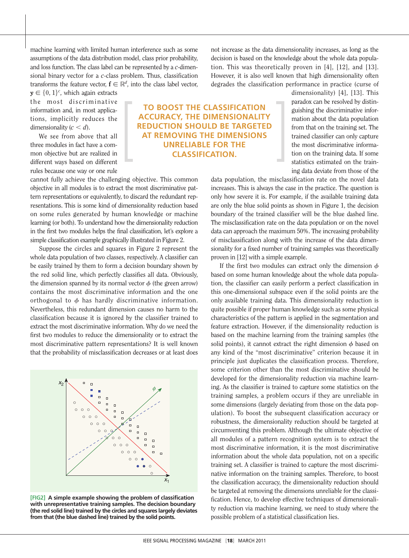machine learning with limited human interference such as some assumptions of the data distribution model, class prior probability, and loss function. The class label can be represented by a *c*-dimensional binary vector for a *c*-class problem. Thus, classification transforms the feature vector,  $f \in \mathbb{R}^d$ , into the class label vector, not increase as the data dimensionality increases, as long as the decision is based on the knowledge about the whole data population. This was theoretically proven in [4], [12], and [13]. However, it is also well known that high dimensionality often degrades the classification performance in practice (curse of

 $y \in \{0, 1\}^c$ , which again extracts the most discriminative information and, in most applications, implicitly reduces the dimensionality  $(c < d)$ .

We see from above that all three modules in fact have a common objective but are realized in different ways based on different rules because one way or one rule

cannot fully achieve the challenging objective. This common objective in all modules is to extract the most discriminative pattern representations or equivalently, to discard the redundant representations. This is some kind of dimensionality reduction based on some rules generated by human knowledge or machine learning (or both). To understand how the dimensionality reduction in the first two modules helps the final classification, let's explore a simple classification example graphically illustrated in Figure 2.

Suppose the circles and squares in Figure 2 represent the whole data population of two classes, respectively. A classifier can be easily trained by them to form a decision boundary shown by the red solid line, which perfectly classifies all data. Obviously, the dimension spanned by its normal vector  $\phi$  (the green arrow) contains the most discriminative information and the one orthogonal to  $\phi$  has hardly discriminative information. Nevertheless, this redundant dimension causes no harm to the classification because it is ignored by the classifier trained to extract the most discriminative information. Why do we need the first two modules to reduce the dimensionality or to extract the most discriminative pattern representations? It is well known that the probability of misclassification decreases or at least does



**[FIG2] A simple example showing the problem of classification with unrepresentative training samples. The decision boundary (the red solid line) trained by the circles and squares largely deviates from that (the blue dashed line) trained by the solid points.**

**TO BOOST THE CLASSIFICATION ACCURACY, THE DIMENSIONALITY REDUCTION SHOULD BE TARGETED AT REMOVING THE DIMENSIONS UNRELIABLE FOR THE CLASSIFICATION.**

dimensionality) [4], [13]. This paradox can be resolved by distinguishing the discriminative information about the data population from that on the training set. The trained classifier can only capture the most discriminative information on the training data. If some statistics estimated on the training data deviate from those of the

data population, the misclassification rate on the novel data increases. This is always the case in the practice. The question is only how severe it is. For example, if the available training data are only the blue solid points as shown in Figure 1, the decision boundary of the trained classifier will be the blue dashed line. The misclassification rate on the data population or on the novel data can approach the maximum 50%. The increasing probability of misclassification along with the increase of the data dimensionality for a fixed number of training samples was theoretically proven in [12] with a simple example.

If the first two modules can extract only the dimension  $\phi$ based on some human knowledge about the whole data population, the classifier can easily perform a perfect classification in this one-dimensional subspace even if the solid points are the only available training data. This dimensionality reduction is quite possible if proper human knowledge such as some physical characteristics of the pattern is applied in the segmentation and feature extraction. However, if the dimensionality reduction is based on the machine learning from the training samples (the solid points), it cannot extract the right dimension  $\phi$  based on any kind of the "most discriminative" criterion because it in principle just duplicates the classification process. Therefore, some criterion other than the most discriminative should be developed for the dimensionality reduction via machine learning. As the classifier is trained to capture some statistics on the training samples, a problem occurs if they are unreliable in some dimensions (largely deviating from those on the data population). To boost the subsequent classification accuracy or robustness, the dimensionality reduction should be targeted at circumventing this problem. Although the ultimate objective of all modules of a pattern recognition system is to extract the most discriminative information, it is the most discriminative information about the whole data population, not on a specific training set. A classifier is trained to capture the most discriminative information on the training samples. Therefore, to boost the classification accuracy, the dimensionality reduction should be targeted at removing the dimensions unreliable for the classification. Hence, to develop effective techniques of dimensionality reduction via machine learning, we need to study where the possible problem of a statistical classification lies.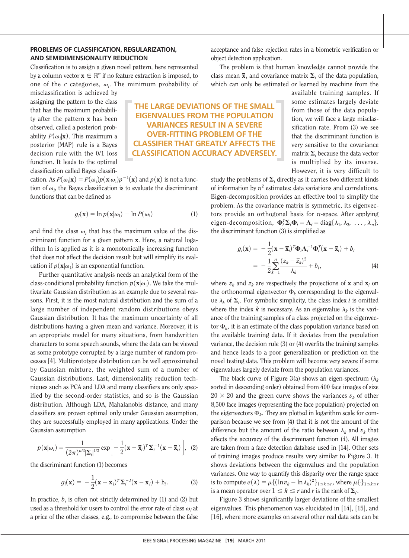## **PROBLEMS OF CLASSIFICATION, REGULARIZATION, AND SEMIDIMENSIONALITY REDUCTION**

Classification is to assign a given novel pattern, here represented by a column vector  $\mathbf{x} \in \mathbb{R}^n$  if no feature extraction is imposed, to one of the *c* categories,  $\omega_i$ . The minimum probability of misclessification is achieved by

 misclassification is achieved by assigning the pattern to the class that has the maximum probability after the pattern x has been observed, called a posteriori probability  $P(\omega_i|\mathbf{x})$ . This maximum a posterior (MAP) rule is a Bayes decision rule with the 0/1 loss function. It leads to the optimal classification called Bayes classifi-

cation. As  $P(\omega_i|\mathbf{x}) = P(\omega_i)p(\mathbf{x}|\omega_i)p^{-1}(\mathbf{x})$  and  $p(\mathbf{x})$  is not a function of  $\omega_i$ , the Bayes elascification is to evaluate the discriminant tion of  $\omega_i$ , the Bayes classification is to evaluate the discriminant functions that can be defined as functions that can be defined as

$$
g_i(\mathbf{x}) = \ln p(\mathbf{x}|\omega_i) + \ln P(\omega_i)
$$
 (1)

and find the class  $\omega_i$  that has the maximum value of the dis-<br>criminant function for a given pattern  $\bf{v}$ . Here a patural logal criminant function for a given pattern x. Here, a natural logarithm ln is applied as it is a monotonically increasing function that does not affect the decision result but will simplify its evaluation if  $p(\mathbf{x}|\omega_i)$  is an exponential function.

Further quantitative analysis needs an analytical form of the class-conditional probability function  $p(\mathbf{x}|\omega_i)$ . We take the multivariate Gaussian distribution as an example due to several reasons. First, it is the most natural distribution and the sum of a large number of independent random distributions obeys Gaussian distribution. It has the maximum uncertainty of all distributions having a given mean and variance. Moreover, it is an appropriate model for many situations, from handwritten characters to some speech sounds, where the data can be viewed as some prototype corrupted by a large number of random processes [4]. Multiprototype distribution can be well approximated by Gaussian mixture, the weighted sum of a number of Gaussian distributions. Last, dimensionality reduction techniques such as PCA and LDA and many classifiers are only specified by the second-order statistics, and so is the Gaussian distribution. Although LDA, Mahalanobis distance, and many classifiers are proven optimal only under Gaussian assumption, they are successfully employed in many applications. Under the Gaussian assumption

$$
p(\mathbf{x}|\omega_i) = \frac{1}{(2\pi)^{n/2} |\mathbf{\Sigma}_i|^{1/2}} \exp\bigg[-\frac{1}{2}(\mathbf{x} - \overline{\mathbf{x}}_i)^T \mathbf{\Sigma}_i^{-1}(\mathbf{x} - \overline{\mathbf{x}}_i)\bigg], \tag{2}
$$

the discriminant function (1) becomes

$$
g_i(\mathbf{x}) = -\frac{1}{2}(\mathbf{x} - \overline{\mathbf{x}}_i)^T \Sigma_i^{-1} (\mathbf{x} - \overline{\mathbf{x}}_i) + \mathbf{b}_i.
$$
 (3)

In practice,  $b_i$  is often not strictly determined by  $(1)$  and  $(2)$  but used as a threshold for users to control the error rate of class  $\omega_i$  at a component of the other class  $\omega_i$  at a component of the false a price of the other classes, e.g., to compromise between the false

acceptance and false rejection rates in a biometric verification or object detection application.

The problem is that human knowledge cannot provide the class mean  $\bar{\mathbf{x}}_i$  and covariance matrix  $\Sigma_i$  of the data population, which can only be estimated or learned by machine from the

> available training samples. If some estimates largely deviate from those of the data population, we will face a large misclassification rate. From (3) we see that the discriminant function is very sensitive to the covariance matrix  $\Sigma_i$  because the data vector is multiplied by its inverse. However, it is very difficult to

study the problems of  $\Sigma_i$  directly as it carries two different kinds of information by  $n^2$  estimates: data variations and correlations. Eigen-decomposition provides an effective tool to simplify the problem. As the covariance matrix is symmetric, its eigenvectors provide an orthogonal basis for *n*-space. After applying eigen-decomposition,  $\Phi_i^T \Sigma_i \Phi_i = \Lambda_i = \text{diag}\{\lambda_1, \lambda_2, \ldots, \lambda_n\}$ , the discriminant function (2) is simplified as the discriminant function (3) is simplified as

$$
g_i(\mathbf{x}) = -\frac{1}{2}(\mathbf{x} - \overline{\mathbf{x}}_i)^T \mathbf{\Phi}_i \Lambda_i^{-1} \mathbf{\Phi}_i^T (\mathbf{x} - \overline{\mathbf{x}}_i) + b_i
$$
  
= 
$$
-\frac{1}{2} \sum_{k=1}^n \frac{(z_k - \overline{z}_k)^2}{\lambda_k} + b_i,
$$
 (4)

where  $z_k$  and  $\bar{z}_k$  are respectively the projections of **x** and  $\bar{x}_i$  on the orthonormal eigenvector  $\Phi_k$  corresponding to the eigenvalue  $\lambda_k$  of  $\Sigma_i$ . For symbolic simplicity, the class index *i* is omitted where the index *k* is necessary. As an eigenvalue  $\lambda_k$  is the variance of the training samples of a class projected on the eigenvector  $\Phi_k$ , it is an estimate of the class population variance based on the available training data. If it deviates from the population variance, the decision rule (3) or (4) overfits the training samples and hence leads to a poor generalization or prediction on the novel testing data. This problem will become very severe if some eigenvalues largely deviate from the population variances.

The black curve of Figure 3(a) shows an eigen-spectrum  $(\lambda_k)$ sorted in descending order) obtained from 400 face images of size  $20 \times 20$  and the green curve shows the variances  $v_k$  of other 8,500 face images (representing the face population) projected on the eigenvectors  $\Phi_k$ . They are plotted in logarithm scale for comparison because we see from (4) that it is not the amount of the difference but the amount of the ratio between  $\lambda_k$  and  $v_k$  that affects the accuracy of the discriminant function (4). All images are taken from a face detection database used in [14]. Other sets of training images produce results very similar to Figure 3. It shows deviations between the eigenvalues and the population variances. One way to quantify this disparity over the range space is to compute  $e(\lambda) = \mu\{(\ln v_k - \ln \lambda_k)^2\}_{1 \leq k \leq r}$ , where  $\mu\{\cdot\}_{1 \leq k \leq r}$ <br>is a mean energies over  $1 \leq k \leq r$  and r is the rank of  $\Sigma$ is a mean operator over  $1 \leq k \leq r$  and *r* is the rank of  $\Sigma_i$ .

Figure 3 shows significantly larger deviations of the smallest eigenvalues. This phenomenon was elucidated in [14], [15], and [16], where more examples on several other real data sets can be

**THE LARGE DEVIATIONS OF THE SMALL EIGENVALUES FROM THE POPULATION VARIANCES RESULT IN A SEVERE OVER-FITTING PROBLEM OF THE CLASSIFIER THAT GREATLY AFFECTS THE CLASSIFICATION ACCURACY ADVERSELY.**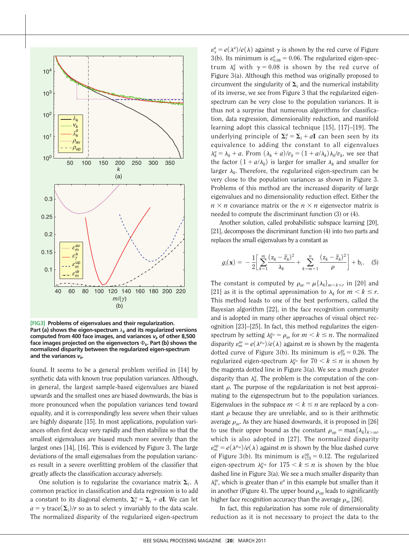

**[FIG3] Problems of eigenvalues and their regularization. Part (a) shows the eigen-spectrum** l*<sup>k</sup>* **and its regularized versions computed from 400 face images, and variances** *vk* **of other 8,500**  face images projected on the eigenvectors  $\Phi_k$ **.** Part (b) shows the **normalized disparity between the regularized eigen-spectrum and the variances** *vk.*

found. It seems to be a general problem verified in [14] by synthetic data with known true population variances. Although, in general, the largest sample-based eigenvalues are biased upwards and the smallest ones are biased downwards, the bias is more pronounced when the population variances tend toward equality, and it is correspondingly less severe when their values are highly disparate [15]. In most applications, population variances often first decay very rapidly and then stabilize so that the smallest eigenvalues are biased much more severely than the largest ones [14], [16]. This is evidenced by Figure 3. The large deviations of the small eigenvalues from the population variances result in a severe overfitting problem of the classifier that greatly affects the classification accuracy adversely.

One solution is to regularize the covariance matrix  $\Sigma_i$ . A common practice in classification and data regression is to add a constant to its diagonal elements,  $\Sigma_i^a = \Sigma_i + aI$ . We can let  $a = a \operatorname{trace}(\Sigma) / \kappa$  so as to select  $\kappa$  invariably to the data scale.  $a = \gamma$  trace( $\Sigma_i$ )/*r* so as to select  $\gamma$  invariably to the data scale. The normalized disparity of the regularized eigen-spectrum

3(b). Its minimum is  $\varepsilon_{0.08}^a = 0.06$ . The regularized eigen-spec-<br>trum  $\lambda^a$  with  $\alpha = 0.08$  is shown by the red curve of  $a<sup>q</sup> = e(\lambda<sup>q</sup>)/e(\lambda)$  against  $\gamma$  is shown by the red curve of Figure (b) Its minimum is  $a<sup>q</sup> = 0.06$  The regularized given spec trum  $\lambda_k^a$  with  $\gamma = 0.08$  is shown by the red curve of  $\mathbb{F}$  is such a linear property of  $\mathbb{F}$  is  $\mathbb{F}$  is  $\mathbb{F}$  and  $\mathbb{F}$  is  $\mathbb{F}$  is  $\mathbb{F}$  is  $\mathbb{F}$  is  $\mathbb{F}$  is  $\mathbb{F}$  is  $\mathbb{F}$  is  $\mathbb$ Figure 3(a). Although this method was originally proposed to circumvent the singularity of  $\Sigma_i$  and the numerical instability of its inverse, we see from Figure 3 that the regularized eigenspectrum can be very close to the population variances. It is thus not a surprise that numerous algorithms for classification, data regression, dimensionality reduction, and manifold learning adopt this classical technique [15], [17]–[19]. The underlying principle of  $\Sigma_i^a = \Sigma_i + aI$  can been seen by its<br>continuous to adding the constant to all eigenvalues equivalence to adding the constant to all eigenvalues  $\lambda_k - \lambda_k + a$ . From  $(\lambda_k + a)/\nu_k - (1 + a/\lambda_k)\lambda_k/\nu_k$ , we see that<br>the factor  $(1 + a/\lambda_k)$  is larger for smaller  $\lambda_k$  and smaller for  $a_k^a = \lambda_k + a$ . From  $(\lambda_k + a)/v_k = (1 + a/\lambda_k)\lambda_k/v_k$ , we see that larger  $\lambda_k$ . Therefore, the regularized eigen-spectrum can be very close to the population variances as shown in Figure 3. Problems of this method are the increased disparity of large eigenvalues and no dimensionality reduction effect. Either the  $n \times n$  covariance matrix or the  $n \times n$  eigenvector matrix is needed to compute the discriminant function (3) or (4).

Another solution, called probabilistic subspace learning [20], [21], decomposes the discriminant function (4) into two parts and replaces the small eigenvalues by a constant as

$$
g_i(\mathbf{x}) = -\frac{1}{2} \bigg[ \sum_{k=1}^m \frac{(z_k - \overline{z}_k)^2}{\lambda_k} + \sum_{k=m+1}^n \frac{(z_k - \overline{z}_k)^2}{\rho} \bigg] + b_i. \quad (5)
$$

The constant is computed by  $\rho_{av} = \mu \{\lambda_k\}_{m \leq k \leq r}$  in [20] and [21] as it is the optimal approximation to  $\lambda_k$  for  $m < k \leq r$ . This method leads to one of the best performers, called the Bayesian algorithm [22], in the face recognition community and is adopted in many other approaches of visual object recognition [23]–[25]. In fact, this method regularizes the eigenspectrum by setting  $\lambda_k^{p_w} = \rho_{av}$  for  $m \le k \le n$ . The normalized<br>disparity  $\alpha_w^{av} = \rho(\lambda_k^{p_w})/\rho(\lambda_k)$  assinct m is shown by the magnetal disparity  $\epsilon_m^{av} = e(\lambda^{\rho_w})/e(\lambda)$  against *m* is shown by the magenta<br>detted curve of Figure 2(b). Its minimum is  $\epsilon_m^{av} = 0.26$ . The dotted curve of Figure 3(b). Its minimum is  $\varepsilon_{70}^{av} = 0.26$ . The regularized eigen contrum  $v_{\text{av}}^{0}$  for  $70 < k < n$  is shown by regularized eigen-spectrum  $\lambda_k^{p_{av}}$  for  $70 < k \le n$  is shown by<br>the maganta detted line in Figure 2(a), We see a much greater the magenta dotted line in Figure 3(a). We see a much greater disparity than  $\lambda_k^a$ . The problem is the computation of the con-<br>etent a The purpose of the regularization is not best approvistant  $\rho$ . The purpose of the regularization is not best approximating to the eigenspectrum but to the population variances. Eigenvalues in the subspace  $m < k \le n$  are replaced by a constant  $\rho$  because they are unreliable, and so is their arithmetic average  $\rho_{av}$ . As they are biased downwards, it is proposed in [26] to use their upper bound as the constant  $\rho_{up} = \max\{\lambda_k\}_{k>m}$ , which is also adopted in [27]. The normalized disparity  $\varepsilon_m = e(x - \mu e(x))$  against *m* is shown by the blue dashed curve<br>of Figure 3(b). Its minimum is  $\varepsilon_{175}^{up} = 0.12$ . The regularized  $u_p = e(\lambda^{\rho_{up}})/e(\lambda)$  against *m* is shown by the blue dashed curve  $f$  Eigure 2(b) Its minimum is  $e^{up} = 0.12$ . The regularized eigen-spectrum  $\lambda_k^{p_{\varphi}}$  for  $175 \le k \le n$  is shown by the blue<br>dashed line in Figure 2(a). We see a much smaller disparity than dashed line in Figure 3(a). We see a much smaller disparity than  $\lambda_k$ , which is greater than  $\varepsilon$  in this example but smaller than it<br>in another (Figure 4). The upper bound  $\rho_{up}$  leads to significantly<br>histor foco recognition accuracy than the average  $c_1$ , [26]  $\alpha_k^{\text{av}}$ , which is greater than  $\varepsilon^a$  in this example but smaller than it higher face recognition accuracy than the average  $\rho_{av}$  [26].

In fact, this regularization has some role of dimensionality reduction as it is not necessary to project the data to the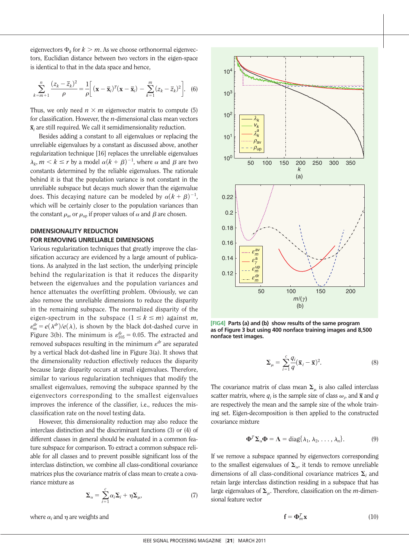eigenvectors  $\Phi_k$  for  $k > m$ . As we choose orthonormal eigenvectors, Euclidian distance between two vectors in the eigen-space is identical to that in the data space and hence,

$$
\sum_{k=m+1}^{n} \frac{(z_k - \overline{z}_k)^2}{\rho} = \frac{1}{\rho} \bigg[ (\mathbf{x} - \overline{\mathbf{x}}_i)^T (\mathbf{x} - \overline{\mathbf{x}}_i) - \sum_{k=1}^{m} (z_k - \overline{z}_k)^2 \bigg]. \tag{6}
$$

Thus, we only need  $n \times m$  eigenvector matrix to compute (5) for classification. However, the *n*-dimensional class mean vectors  $\bar{\mathbf{x}}_i$  are still required. We call it semidimensionality reduction.

Besides adding a constant to all eigenvalues or replacing the unreliable eigenvalues by a constant as discussed above, another regularization technique [16] replaces the unreliable eigenvalues  $\lambda_k$ ,  $m < k \le r$  by a model  $\alpha (k + \beta)^{-1}$ , where  $\alpha$  and  $\beta$  are two constants determined by the reliable eigenvalues. The rationals constants determined by the reliable eigenvalues. The rationale behind it is that the population variance is not constant in the unreliable subspace but decays much slower than the eigenvalue does. This decaying nature can be modeled by  $\alpha(k+\beta)^{-1}$ , which will be certainly closer to the population variances than the constant  $\rho_{av}$  or  $\rho_{up}$  if proper values of  $\alpha$  and  $\beta$  are chosen.

## **DIMENSIONALITY REDUCTION FOR REMOVING UNRELIABLE DIMENSIONS**

Various regularization techniques that greatly improve the classification accuracy are evidenced by a large amount of publications. As analyzed in the last section, the underlying principle behind the regularization is that it reduces the disparity between the eigenvalues and the population variances and hence attenuates the overfitting problem. Obviously, we can also remove the unreliable dimensions to reduce the disparity in the remaining subspace. The normalized disparity of the eigen-spectrum in the subspace  $(1 \leq k \leq m)$  against *m*,  $\varepsilon_m = e(\lambda) / e(\lambda)$ , is shown by the black dot-dashed curve in<br>Figure 3(b). The minimum is  $\varepsilon_{0.5}^{dr} = 0.05$ . The extracted and<br>removed subspaces resulting in the minimum  $\varepsilon_{0.5}^{dr}$  are connected  $\frac{dr}{dt} = e(\lambda^{dr})/e(\lambda)$ , is shown by the black dot-dashed curve in  $\frac{dr}{dt}$  or  $\frac{dr}{dt} = 0.05$ . The extended and removed subspaces resulting in the minimum e*dr* are separated by a vertical black dot-dashed line in Figure 3(a). It shows that the dimensionality reduction effectively reduces the disparity because large disparity occurs at small eigenvalues. Therefore, similar to various regularization techniques that modify the smallest eigenvalues, removing the subspace spanned by the eigenvectors corresponding to the smallest eigenvalues improves the inference of the classifier, i.e., reduces the misclassification rate on the novel testing data.

However, this dimensionality reduction may also reduce the interclass distinction and the discriminant functions (3) or (4) of different classes in general should be evaluated in a common feature subspace for comparison. To extract a common subspace reliable for all classes and to prevent possible significant loss of the interclass distinction, we combine all class-conditional covariance matrices plus the covariance matrix of class mean to create a covariance mixture as

$$
\Sigma_{\alpha} = \sum_{i=1}^{c} \alpha_{i} \Sigma_{i} + \eta \Sigma_{\mu}, \tag{7}
$$

where  $\alpha_i$  and  $\eta$  are weights and



**[FIG4] Parts (a) and (b) show results of the same program as of Figure 3 but using 400 nonface training images and 8,500 nonface test images.**

$$
\Sigma_{\mu} = \sum_{i=1}^{c} \frac{q_i}{q} (\overline{\mathbf{x}}_i - \overline{\mathbf{x}})^2.
$$
 (8)

The covariance matrix of class mean  $\Sigma_{\mu}$  is also called interclass scatter matrix, where  $q_i$  is the sample size of class  $\omega_i$ , and  $\bar{x}$  and  $q$ <br>are reconctively the mean and the sample size of the whole train are respectively the mean and the sample size of the whole training set. Eigen-decomposition is then applied to the constructed covariance mixture

$$
\Phi^T \Sigma_\alpha \Phi = \Lambda = \text{diag}\{\lambda_1, \lambda_2, \dots, \lambda_n\}.
$$
 (9)

If we remove a subspace spanned by eigenvectors corresponding to the smallest eigenvalues of  $\Sigma_{\alpha}$ , it tends to remove unreliable dimensions of all class-conditional covariance matrices  $\Sigma_i$  and retain large interclass distinction residing in a subspace that has large eigenvalues of  $\Sigma_{\mu}$ . Therefore, classification on the *m*-dimensional feature vector

$$
\mathbf{f} = \mathbf{\Phi}_m^T \mathbf{x} \tag{10}
$$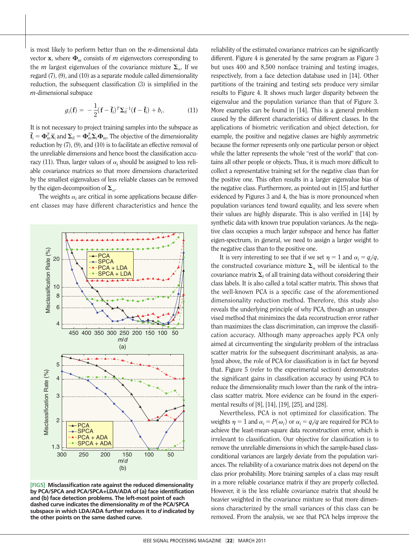is most likely to perform better than on the *n*-dimensional data vector **x**, where  $\Phi_m$  consists of *m* eigenvectors corresponding to the *m* largest eigenvalues of the covariance mixture  $\Sigma_{\alpha}$ . If we regard (7), (9), and (10) as a separate module called dimensionality reduction, the subsequent classification (3) is simplified in the *m*-dimensional subspace

$$
g_i(\mathbf{f}) = -\frac{1}{2}(\mathbf{f} - \bar{\mathbf{f}}_i)^T \Sigma_{\hat{n}}^{-1} (\mathbf{f} - \bar{\mathbf{f}}_i) + b_i.
$$
 (11)

It is not necessary to project training samples into the subspace as  $\vec{f}_i = \Phi_m^T \vec{x}_i$  and  $\Sigma_{fi} = \Phi_m^T \Sigma_i \Phi_m$ . The objective of the dimensionality<br>reduction by (7), (0), and (10) is to facilitate an effective removal of reduction by (7), (9), and (10) is to facilitate an effective removal of the unreliable dimensions and hence boost the classification accuracy (11). Thus, larger values of  $\alpha_i$  should be assigned to less reli-<br>able countinges matrices so that more dimensions characterized able covariance matrices so that more dimensions characterized by the smallest eigenvalues of less reliable classes can be removed by the eigen-decomposition of  $\Sigma_{\alpha}$ .

The weights  $\alpha_i$  are critical in some applications because differential contains and hence the classes may have different characteristics and hence the ent classes may have different characteristics and hence the



**[FIG5] Misclassification rate against the reduced dimensionality by PCA/SPCA and PCA/SPCA+LDA/ADA of (a) face identification and (b) face detection problems. The left-most point of each dashed curve indicates the dimensionality** *m* **of the PCA/SPCA subspace in which LDA/ADA further reduces it to** *d* **indicated by the other points on the same dashed curve.**

 reliability of the estimated covariance matrices can be significantly different. Figure 4 is generated by the same program as Figure 3 but uses 400 and 8,500 nonface training and testing images, respectively, from a face detection database used in [14]. Other partitions of the training and testing sets produce very similar results to Figure 4. It shows much larger disparity between the eigenvalue and the population variance than that of Figure 3. More examples can be found in [14]. This is a general problem caused by the different characteristics of different classes. In the applications of biometric verification and object detection, for example, the positive and negative classes are highly asymmetric because the former represents only one particular person or object while the latter represents the whole "rest of the world" that contains all other people or objects. Thus, it is much more difficult to collect a representative training set for the negative class than for the positive one. This often results in a larger eigenvalue bias of the negative class. Furthermore, as pointed out in [15] and further evidenced by Figures 3 and 4, the bias is more pronounced when population variances tend toward equality, and less severe when their values are highly disparate. This is also verified in [14] by synthetic data with known true population variances. As the negative class occupies a much larger subspace and hence has flatter eigen-spectrum, in general, we need to assign a larger weight to the negative class than to the positive one.

It is very interesting to see that if we set  $\eta = 1$  and  $\alpha_i = q_i/q$ , the constructed covariance mixture  $\Sigma_{\alpha}$  will be identical to the covariance matrix  $\Sigma_t$  of all training data without considering their class labels. It is also called a total scatter matrix. This shows that the well-known PCA is a specific case of the aforementioned dimensionality reduction method. Therefore, this study also reveals the underlying principle of why PCA, though an unsupervised method that minimizes the data reconstruction error rather than maximizes the class discrimination, can improve the classification accuracy. Although many approaches apply PCA only aimed at circumventing the singularity problem of the intraclass scatter matrix for the subsequent discriminant analysis, as analyzed above, the role of PCA for classification is in fact far beyond that. Figure 5 (refer to the experimental section) demonstrates the significant gains in classification accuracy by using PCA to reduce the dimensionality much lower than the rank of the intraclass scatter matrix. More evidence can be found in the experimental results of [8], [14], [19], [25], and [28].

Nevertheless, PCA is not optimized for classification. The weights  $\eta = 1$  and  $\alpha_i = P(\omega_i)$  or  $\alpha_i = q_i/q$  are required for PCA to achieve the least-mean-square data reconstruction error, which is irrelevant to classification. Our objective for classification is to remove the unreliable dimensions in which the sample-based classconditional variances are largely deviate from the population variances. The reliability of a covariance matrix does not depend on the class prior probability. More training samples of a class may result in a more reliable covariance matrix if they are properly collected. However, it is the less reliable covariance matrix that should be heavier weighted in the covariance mixture so that more dimensions characterized by the small variances of this class can be removed. From the analysis, we see that PCA helps improve the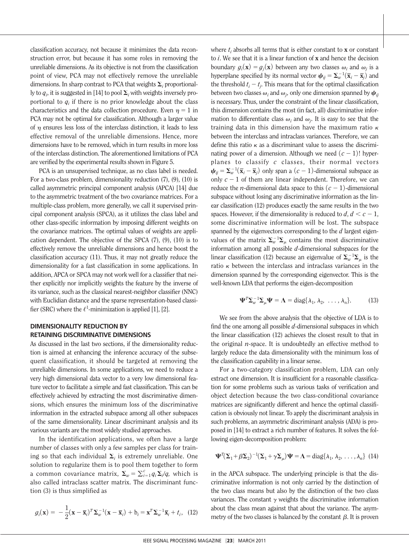classification accuracy, not because it minimizes the data reconstruction error, but because it has some roles in removing the unreliable dimensions. As its objective is not from the classification point of view, PCA may not effectively remove the unreliable dimensions. In sharp contrast to PCA that weights  $\boldsymbol{\Sigma}_i$  proportionally to  $q_i$ , it is suggested in [14] to pool  $\boldsymbol{\Sigma}_i$  with weights inversely proportional to  $q_i$  if there is no prior knowledge about the class characteristics and the data collection procedure. Even  $n = 1$  in PCA may not be optimal for classification. Although a larger value of  $\eta$  ensures less loss of the interclass distinction, it leads to less effective removal of the unreliable dimensions. Hence, more dimensions have to be removed, which in turn results in more loss of the interclass distinction. The aforementioned limitations of PCA are verified by the experimental results shown in Figure 5.

PCA is an unsupervised technique, as no class label is needed. For a two-class problem, dimensionality reduction (7), (9), (10) is called asymmetric principal component analysis (APCA) [14] due to the asymmetric treatment of the two covariance matrices. For a multiple-class problem, more generally, we call it supervised principal component analysis (SPCA), as it utilizes the class label and other class-specific information by imposing different weights on the covariance matrices. The optimal values of weights are application dependent. The objective of the SPCA (7), (9), (10) is to effectively remove the unreliable dimensions and hence boost the classification accuracy (11). Thus, it may not greatly reduce the dimensionality for a fast classification in some applications. In addition, APCA or SPCA may not work well for a classifier that neither explicitly nor implicitly weights the feature by the inverse of its variance, such as the classical nearest-neighbor classifier (NNC) with Euclidian distance and the sparse representation-based classifier (SRC) where the  $\ell^1$ -minimization is applied [1], [2].

## **DIMENSIONALITY REDUCTION BY RETAINING DISCRIMINATIVE DIMENSIONS**

As discussed in the last two sections, if the dimensionality reduction is aimed at enhancing the inference accuracy of the subsequent classification, it should be targeted at removing the unreliable dimensions. In some applications, we need to reduce a very high dimensional data vector to a very low dimensional feature vector to facilitate a simple and fast classification. This can be effectively achieved by extracting the most discriminative dimensions, which ensures the minimum loss of the discriminative information in the extracted subspace among all other subspaces of the same dimensionality. Linear discriminant analysis and its various variants are the most widely studied approaches.

In the identification applications, we often have a large number of classes with only a few samples per class for training so that each individual  $\Sigma_i$  is extremely unreliable. One solution to regularize them is to pool them together to form a common covariance matrix,  $\Sigma_w = \sum_{i=1}^c q_i \Sigma_i / q$ , which is also called intraclass scatter matrix. The discriminant function (3) is thus simplified as

$$
g_i(\mathbf{x}) = -\frac{1}{2}(\mathbf{x} - \overline{\mathbf{x}}_i)^T \Sigma_w^{-1} (\mathbf{x} - \overline{\mathbf{x}}_i) + \mathbf{b}_i = \mathbf{x}^T \Sigma_w^{-1} \overline{\mathbf{x}}_i + t_i, \quad (12)
$$

where  $t_i$  absorbs all terms that is either constant to  $\mathbf x$  or constant to *i*. We see that it is a linear function of x and hence the decision boundary  $g_i(\mathbf{x}) = g_j(\mathbf{x})$  between any two classes  $\omega_i$  and  $\omega_j$  is a hyperplane coordinate via corresponding  $\mathbf{x} = \nabla^{-1}(\overline{\mathbf{x}} - \overline{\mathbf{x}})$  and hyperplane specified by its normal vector  $\psi_{ij} = \sum_{i}^{-1} (\overline{\mathbf{x}}_i - \overline{\mathbf{x}}_j)$  and the threshold  $t - t$ . This means that for the optimal elascification the threshold  $t_i - t_j$ . This means that for the optimal classification<br>between two classes  $\omega$  and  $\omega$ , only are dimension spanned by  $\mathcal{U}$ . between two classes  $\omega_i$  and  $\omega_j$ , only one dimension spanned by  $\psi_{ij}$ <br>is necessary. Thus, under the constraint of the linear classification is necessary. Thus, under the constraint of the linear classification, this dimension contains the most (in fact, all) discriminative information to differentiate class  $\omega_i$  and  $\omega_j$ . It is easy to see that the training data in this dimension have the maximum ratio  $\mu$ training data in this dimension have the maximum ratio  $\kappa$ between the interclass and intraclass variances. Therefore, we can define this ratio  $\kappa$  as a discriminant value to assess the discriminating power of a dimension. Although we need  $(c - 1)!$  hyperplanes to classify *c* classes, their normal vectors  $\psi_{ij} = \sum_{\alpha}^{-1} (\overline{x}_i - \overline{x}_j)$  only span a  $(c-1)$ -dimensional subspace as only  $c-1$  of them are linear independent. Therefore, we can only  $c - 1$  of them are linear independent. Therefore, we can reduce the *n*-dimensional data space to this  $(c - 1)$ -dimensional subspace without losing any discriminative information as the linear classification (12) produces exactly the same results in the two spaces. However, if the dimensionality is reduced to  $d, d \leq c - 1$ , some discriminative information will be lost. The subspace spanned by the eigenvectors corresponding to the *d* largest eigenvalues of the matrix  $\Sigma_w^{-1}\Sigma_\mu$  contains the most discriminative information among all possible *d*-dimensional subspaces for the linear classification (12) because an eigenvalue of  $\Sigma_w^{-1}\Sigma_\mu$  is the ratio  $\kappa$  between the interclass and intraclass variances in the dimension spanned by the corresponding eigenvector. This is the well-known LDA that performs the eigen-decomposition

$$
\mathbf{\Psi}^T \mathbf{\Sigma}_w^{-1} \mathbf{\Sigma}_\mu \mathbf{\Psi} = \mathbf{\Lambda} = \text{diag}\{\lambda_1, \lambda_2, \dots, \lambda_n\}.
$$
 (13)

We see from the above analysis that the objective of LDA is to find the one among all possible *d*-dimensional subspaces in which the linear classification (12) achieves the closest result to that in the original *n*-space. It is undoubtedly an effective method to largely reduce the data dimensionality with the minimum loss of the classification capability in a linear sense.

For a two-category classification problem, LDA can only extract one dimension. It is insufficient for a reasonable classification for some problems such as various tasks of verification and object detection because the two class-conditional covariance matrices are significantly different and hence the optimal classification is obviously not linear. To apply the discriminant analysis in such problems, an asymmetric discriminant analysis (ADA) is proposed in [14] to extract a rich number of features. It solves the following eigen-decomposition problem:

$$
\Psi^{T}(\Sigma_{1}+\beta\Sigma_{2})^{-1}(\Sigma_{1}+\gamma\Sigma_{\mu})\Psi=\Lambda=\text{diag}\{\lambda_{1},\lambda_{2},\ldots,\lambda_{n}\}\ (14)
$$

in the APCA subspace. The underlying principle is that the discriminative information is not only carried by the distinction of the two class means but also by the distinction of the two class variances. The constant  $\gamma$  weights the discriminative information about the class mean against that about the variance. The asymmetry of the two classes is balanced by the constant  $\beta$ . It is proven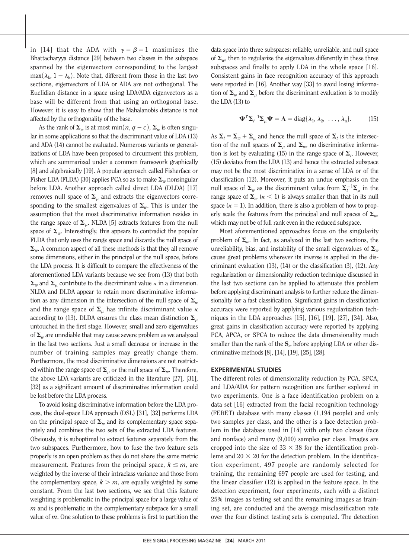in [14] that the ADA with  $\gamma = \beta = 1$  maximizes the Bhattacharyya distance [29] between two classes in the subspace spanned by the eigenvectors corresponding to the largest  $max(\lambda_k, 1 - \lambda_k)$ . Note that, different from those in the last two sections, eigenvectors of LDA or ADA are not orthogonal. The Euclidian distance in a space using LDA/ADA eigenvectors as a base will be different from that using an orthogonal base. However, it is easy to show that the Mahalanobis distance is not affected by the orthogonality of the base.

As the rank of  $\Sigma_w$  is at most min $(n, q - c)$ ,  $\Sigma_w$  is often singular in some applications so that the discriminant value of LDA (13) and ADA (14) cannot be evaluated. Numerous variants or generalizations of LDA have been proposed to circumvent this problem, which are summarized under a common framework graphically [8] and algebraically [19]. A popular approach called Fisherface or Fisher LDA (FLDA) [30] applies PCA so as to make  $\Sigma_{w}$  nonsingular before LDA. Another approach called direct LDA (DLDA) [17] removes null space of  $\Sigma_{\mu}$  and extracts the eigenvectors corresponding to the smallest eigenvalues of  $\Sigma_{w}$ . This is under the assumption that the most discriminative information resides in the range space of  $\Sigma_{\mu}$ . NLDA [5] extracts features from the null space of  $\Sigma_{w}$ . Interestingly, this appears to contradict the popular FLDA that only uses the range space and discards the null space of  $\Sigma$ <sub>w</sub>. A common aspect of all these methods is that they all remove some dimensions, either in the principal or the null space, before the LDA process. It is difficult to compare the effectiveness of the aforementioned LDA variants because we see from (13) that both  $\Sigma_w$  and  $\Sigma_u$  contribute to the discriminant value  $\kappa$  in a dimension. NLDA and DLDA appear to retain more discriminative information as any dimension in the intersection of the null space of  $\Sigma_{w}$ and the range space of  $\Sigma_{\mu}$  has infinite discriminant value  $\kappa$ according to (13). DLDA ensures the class mean distinction  $\Sigma_{\mu}$ untouched in the first stage. However, small and zero eigenvalues of  $\Sigma_w$  are unreliable that may cause severe problem as we analyzed in the last two sections. Just a small decrease or increase in the number of training samples may greatly change them. Furthermore, the most discriminative dimensions are not restricted within the range space of  $\Sigma_{\mu}$  or the null space of  $\Sigma_{\mu}$ . Therefore, the above LDA variants are criticized in the literature [27], [31], [32] as a significant amount of discriminative information could be lost before the LDA process.

To avoid losing discriminative information before the LDA process, the dual-space LDA approach (DSL) [31], [32] performs LDA on the principal space of  $\Sigma_w$  and its complementary space separately and combines the two sets of the extracted LDA features. Obviously, it is suboptimal to extract features separately from the two subspaces. Furthermore, how to fuse the two feature sets properly is an open problem as they do not share the same metric measurement. Features from the principal space,  $k \le m$ , are weighted by the inverse of their intraclass variance and those from the complementary space,  $k > m$ , are equally weighted by some constant. From the last two sections, we see that this feature weighting is problematic in the principal space for a large value of *m* and is problematic in the complementary subspace for a small value of *m*. One solution to these problems is first to partition the

data space into three subspaces: reliable, unreliable, and null space of  $\Sigma_{w}$ , then to regularize the eigenvalues differently in these three subspaces and finally to apply LDA in the whole space [16]. Consistent gains in face recognition accuracy of this approach were reported in [16]. Another way [33] to avoid losing information of  $\Sigma_w$  and  $\Sigma_u$  before the discriminant evaluation is to modify the LDA (13) to

$$
\mathbf{\Psi}^T \mathbf{\Sigma}_t^{-1} \mathbf{\Sigma}_{\mu} \mathbf{\Psi} = \mathbf{\Lambda} = \text{diag}\{\lambda_1, \lambda_2, \dots, \lambda_n\}.
$$
 (15)

As  $\Sigma_t = \Sigma_w + \Sigma_\mu$  and hence the null space of  $\Sigma_t$  is the intersec-<br>tion of the null spaces of  $\Sigma$ , and  $\Sigma$ , are discriminative information of the null spaces of  $\Sigma_{\mu}$  and  $\Sigma_{\nu}$ , no discriminative information is lost by evaluating (15) in the range space of  $\Sigma_t$ . However, (15) deviates from the LDA (13) and hence the extracted subspace may not be the most discriminative in a sense of LDA or of the classification (12). Moreover, it puts an undue emphasis on the null space of  $\Sigma_w$  as the discriminant value from  $\Sigma_t^{-1}\Sigma_\mu$  in the range space of  $\Sigma_w$  ( $\kappa$  < 1) is always smaller than that in its null space ( $\kappa = 1$ ). In addition, there is also a problem of how to properly scale the features from the principal and null spaces of  $\Sigma_{w}$ , which may not be of full rank even in the reduced subspace.

Most aforementioned approaches focus on the singularity problem of  $\Sigma_{w}$ . In fact, as analyzed in the last two sections, the unreliability, bias, and instability of the small eigenvalues of  $\Sigma_w$ cause great problems wherever its inverse is applied in the discriminant evaluation (13), (14) or the classification (3), (12). Any regularization or dimensionality reduction technique discussed in the last two sections can be applied to attenuate this problem before applying discriminant analysis to further reduce the dimensionality for a fast classification. Significant gains in classification accuracy were reported by applying various regularization techniques in the LDA approaches [15], [16], [19], [27], [34]. Also, great gains in classification accuracy were reported by applying PCA, APCA, or SPCA to reduce the data dimensionality much smaller than the rank of the  $S_{w}$  before applying LDA or other discriminative methods [8], [14], [19], [25], [28].

### **EXPERIMENTAL STUDIES**

The different roles of dimensionality reduction by PCA, SPCA, and LDA/ADA for pattern recognition are further explored in two experiments. One is a face identification problem on a data set [16] extracted from the facial recognition technology (FERET) database with many classes (1,194 people) and only two samples per class, and the other is a face detection problem in the database used in [14] with only two classes (face and nonface) and many (9,000) samples per class. Images are cropped into the size of  $33 \times 38$  for the identification problems and  $20 \times 20$  for the detection problem. In the identification experiment, 497 people are randomly selected for training, the remaining 697 people are used for testing, and the linear classifier (12) is applied in the feature space. In the detection experiment, four experiments, each with a distinct 25% images as testing set and the remaining images as training set, are conducted and the average misclassification rate over the four distinct testing sets is computed. The detection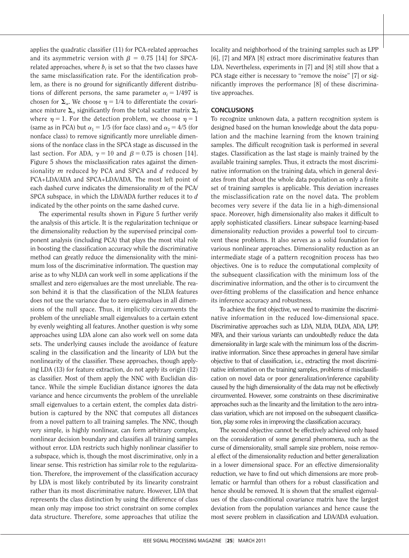applies the quadratic classifier (11) for PCA-related approaches and its asymmetric version with  $\beta = 0.75$  [14] for SPCArelated approaches, where  $b_i$  is set so that the two classes have the same misclassification rate. For the identification problem, as there is no ground for significantly different distributions of different persons, the same parameter  $\alpha_i = 1/497$  is chosen for  $\Sigma_{\alpha}$ . We choose  $\eta = 1/4$  to differentiate the covariance mixture  $\Sigma_{\alpha}$  significantly from the total scatter matrix  $\Sigma_{\alpha}$ where  $\eta = 1$ . For the detection problem, we choose  $\eta = 1$ (same as in PCA) but  $\alpha_1 = 1/5$  (for face class) and  $\alpha_2 = 4/5$  (for nonface class) to remove significantly more unreliable dimensions of the nonface class in the SPCA stage as discussed in the last section. For ADA,  $\gamma = 10$  and  $\beta = 0.75$  is chosen [14]. Figure 5 shows the misclassification rates against the dimensionality *m* reduced by PCA and SPCA and *d* reduced by PCA+LDA/ADA and SPCA+LDA/ADA. The most left point of each dashed curve indicates the dimensionality *m* of the PCA/ SPCA subspace, in which the LDA/ADA further reduces it to *d* indicated by the other points on the same dashed curve.

The experimental results shown in Figure 5 further verify the analysis of this article. It is the regularization technique or the dimensionality reduction by the supervised principal component analysis (including PCA) that plays the most vital role in boosting the classification accuracy while the discriminative method can greatly reduce the dimensionality with the minimum loss of the discriminative information. The question may arise as to why NLDA can work well in some applications if the smallest and zero eigenvalues are the most unreliable. The reason behind it is that the classification of the NLDA features does not use the variance due to zero eigenvalues in all dimensions of the null space. Thus, it implicitly circumvents the problem of the unreliable small eigenvalues to a certain extent by evenly weighting all features. Another question is why some approaches using LDA alone can also work well on some data sets. The underlying causes include the avoidance of feature scaling in the classification and the linearity of LDA but the nonlinearity of the classifier. These approaches, though applying LDA (13) for feature extraction, do not apply its origin (12) as classifier. Most of them apply the NNC with Euclidian distance. While the simple Euclidian distance ignores the data variance and hence circumvents the problem of the unreliable small eigenvalues to a certain extent, the complex data distribution is captured by the NNC that computes all distances from a novel pattern to all training samples. The NNC, though very simple, is highly nonlinear, can form arbitrary complex, nonlinear decision boundary and classifies all training samples without error. LDA restricts such highly nonlinear classifier to a subspace, which is, though the most discriminative, only in a linear sense. This restriction has similar role to the regularization. Therefore, the improvement of the classification accuracy by LDA is most likely contributed by its linearity constraint rather than its most discriminative nature. However, LDA that represents the class distinction by using the difference of class mean only may impose too strict constraint on some complex data structure. Therefore, some approaches that utilize the

locality and neighborhood of the training samples such as LPP [6], [7] and MFA [8] extract more discriminative features than LDA. Nevertheless, experiments in [7] and [8] still show that a PCA stage either is necessary to "remove the noise" [7] or significantly improves the performance [8] of these discriminative approaches.

## **CONCLUSIONS**

To recognize unknown data, a pattern recognition system is designed based on the human knowledge about the data population and the machine learning from the known training samples. The difficult recognition task is performed in several stages. Classification as the last stage is mainly trained by the available training samples. Thus, it extracts the most discriminative information on the training data, which in general deviates from that about the whole data population as only a finite set of training samples is applicable. This deviation increases the misclassification rate on the novel data. The problem becomes very severe if the data lie in a high-dimensional space. Moreover, high dimensionality also makes it difficult to apply sophisticated classifiers. Linear subspace learning-based dimensionality reduction provides a powerful tool to circumvent these problems. It also serves as a solid foundation for various nonlinear approaches. Dimensionality reduction as an intermediate stage of a pattern recognition process has two objectives. One is to reduce the computational complexity of the subsequent classification with the minimum loss of the discriminative information, and the other is to circumvent the over-fitting problems of the classification and hence enhance its inference accuracy and robustness.

To achieve the first objective, we need to maximize the discriminative information in the reduced low-dimensional space. Discriminative approaches such as LDA, NLDA, DLDA, ADA, LPP, MFA, and their various variants can undoubtedly reduce the data dimensionality in large scale with the minimum loss of the discriminative information. Since these approaches in general have similar objective to that of classification, i.e., extracting the most discriminative information on the training samples, problems of misclassification on novel data or poor generalization/inference capability caused by the high dimensionality of the data may not be effectively circumvented. However, some constraints on these discriminative approaches such as the linearity and the limitation to the zero intraclass variation, which are not imposed on the subsequent classification, play some roles in improving the classification accuracy.

 The second objective cannot be effectively achieved only based on the consideration of some general phenomena, such as the curse of dimensionality, small sample size problem, noise removal effect of the dimensionality reduction and better generalization in a lower dimensional space. For an effective dimensionality reduction, we have to find out which dimensions are more problematic or harmful than others for a robust classification and hence should be removed. It is shown that the smallest eigenvalues of the class-conditional covariance matrix have the largest deviation from the population variances and hence cause the most severe problem in classification and LDA/ADA evaluation.